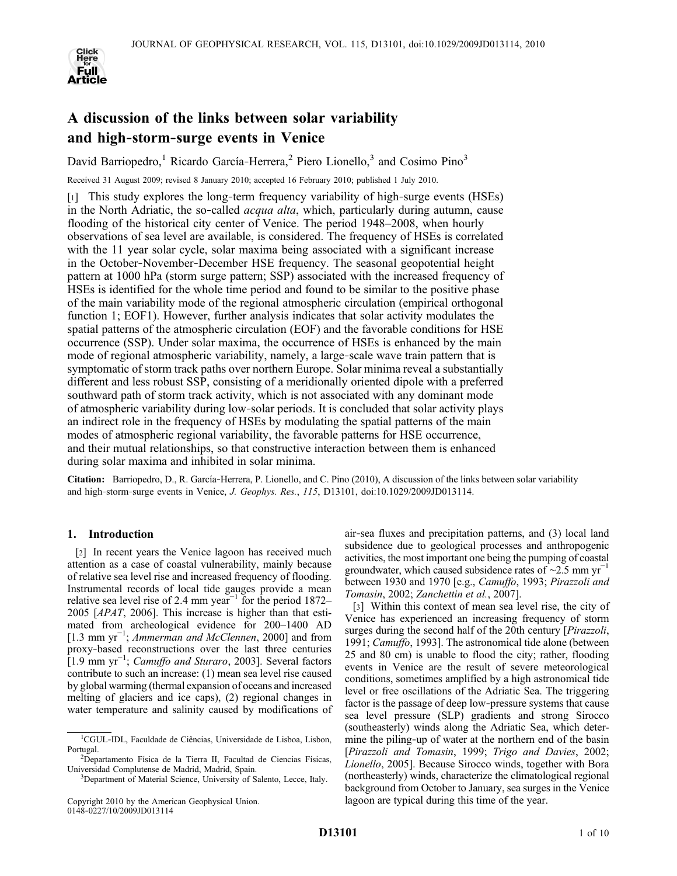

# A discussion of the links between solar variability and high‐storm‐surge events in Venice

David Barriopedro,<sup>1</sup> Ricardo García-Herrera,<sup>2</sup> Piero Lionello,<sup>3</sup> and Cosimo Pino<sup>3</sup>

Received 31 August 2009; revised 8 January 2010; accepted 16 February 2010; published 1 July 2010.

[1] This study explores the long‐term frequency variability of high‐surge events (HSEs) in the North Adriatic, the so-called *acqua alta*, which, particularly during autumn, cause flooding of the historical city center of Venice. The period 1948–2008, when hourly observations of sea level are available, is considered. The frequency of HSEs is correlated with the 11 year solar cycle, solar maxima being associated with a significant increase in the October‐November‐December HSE frequency. The seasonal geopotential height pattern at 1000 hPa (storm surge pattern; SSP) associated with the increased frequency of HSEs is identified for the whole time period and found to be similar to the positive phase of the main variability mode of the regional atmospheric circulation (empirical orthogonal function 1; EOF1). However, further analysis indicates that solar activity modulates the spatial patterns of the atmospheric circulation (EOF) and the favorable conditions for HSE occurrence (SSP). Under solar maxima, the occurrence of HSEs is enhanced by the main mode of regional atmospheric variability, namely, a large-scale wave train pattern that is symptomatic of storm track paths over northern Europe. Solar minima reveal a substantially different and less robust SSP, consisting of a meridionally oriented dipole with a preferred southward path of storm track activity, which is not associated with any dominant mode of atmospheric variability during low‐solar periods. It is concluded that solar activity plays an indirect role in the frequency of HSEs by modulating the spatial patterns of the main modes of atmospheric regional variability, the favorable patterns for HSE occurrence, and their mutual relationships, so that constructive interaction between them is enhanced during solar maxima and inhibited in solar minima.

Citation: Barriopedro, D., R. García‐Herrera, P. Lionello, and C. Pino (2010), A discussion of the links between solar variability and high-storm-surge events in Venice, J. Geophys. Res., 115, D13101, doi:10.1029/2009JD013114.

# 1. Introduction

[2] In recent years the Venice lagoon has received much attention as a case of coastal vulnerability, mainly because of relative sea level rise and increased frequency of flooding. Instrumental records of local tide gauges provide a mean relative sea level rise of 2.4 mm year<sup>-1</sup> for the period 1872– 2005 [APAT, 2006]. This increase is higher than that estimated from archeological evidence for 200–1400 AD [1.3 mm yr<sup>-1</sup>; Ammerman and McClennen, 2000] and from proxy‐based reconstructions over the last three centuries [1.9 mm yr−<sup>1</sup> ; Camuffo and Sturaro, 2003]. Several factors contribute to such an increase: (1) mean sea level rise caused by global warming (thermal expansion of oceans and increased melting of glaciers and ice caps), (2) regional changes in water temperature and salinity caused by modifications of

air‐sea fluxes and precipitation patterns, and (3) local land subsidence due to geological processes and anthropogenic activities, the most important one being the pumping of coastal groundwater, which caused subsidence rates of  $\sim$ 2.5 mm yr<sup>-1</sup> between 1930 and 1970 [e.g., Camuffo, 1993; Pirazzoli and Tomasin, 2002; Zanchettin et al., 2007].

[3] Within this context of mean sea level rise, the city of Venice has experienced an increasing frequency of storm surges during the second half of the 20th century [*Pirazzoli*, 1991; Camuffo, 1993]. The astronomical tide alone (between 25 and 80 cm) is unable to flood the city; rather, flooding events in Venice are the result of severe meteorological conditions, sometimes amplified by a high astronomical tide level or free oscillations of the Adriatic Sea. The triggering factor is the passage of deep low–pressure systems that cause sea level pressure (SLP) gradients and strong Sirocco (southeasterly) winds along the Adriatic Sea, which determine the piling‐up of water at the northern end of the basin [Pirazzoli and Tomasin, 1999; Trigo and Davies, 2002; Lionello, 2005]. Because Sirocco winds, together with Bora (northeasterly) winds, characterize the climatological regional background from October to January, sea surges in the Venice lagoon are typical during this time of the year.

<sup>&</sup>lt;sup>1</sup>CGUL-IDL, Faculdade de Ciências, Universidade de Lisboa, Lisbon, Portugal.

Departamento Física de la Tierra II, Facultad de Ciencias Físicas, Universidad Complutense de Madrid, Madrid, Spain. <sup>3</sup>

<sup>&</sup>lt;sup>3</sup>Department of Material Science, University of Salento, Lecce, Italy.

Copyright 2010 by the American Geophysical Union. 0148‐0227/10/2009JD013114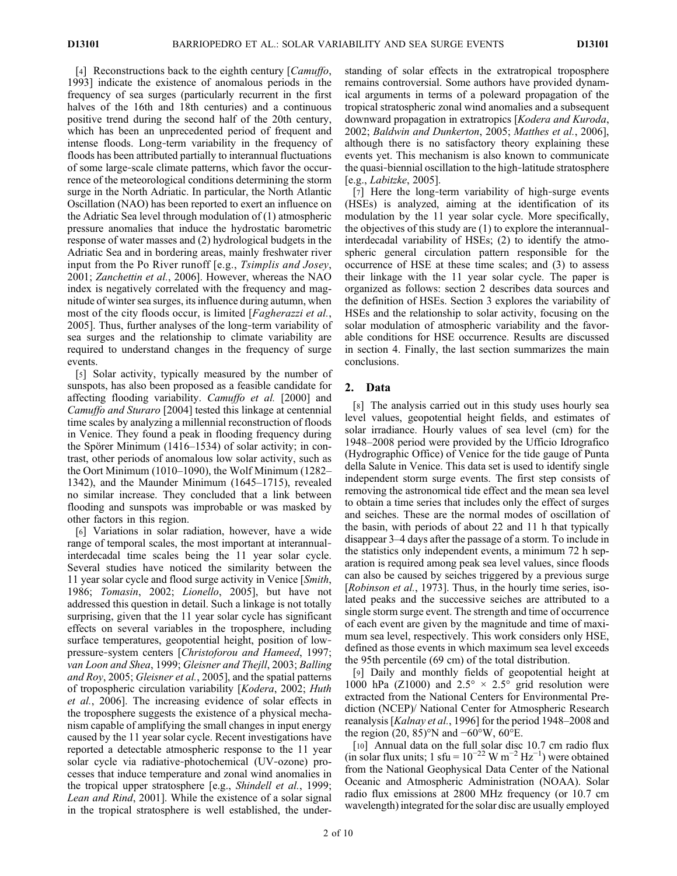[4] Reconstructions back to the eighth century [*Camuffo*, 1993] indicate the existence of anomalous periods in the frequency of sea surges (particularly recurrent in the first halves of the 16th and 18th centuries) and a continuous positive trend during the second half of the 20th century, which has been an unprecedented period of frequent and intense floods. Long‐term variability in the frequency of floods has been attributed partially to interannual fluctuations of some large‐scale climate patterns, which favor the occurrence of the meteorological conditions determining the storm surge in the North Adriatic. In particular, the North Atlantic Oscillation (NAO) has been reported to exert an influence on the Adriatic Sea level through modulation of (1) atmospheric pressure anomalies that induce the hydrostatic barometric response of water masses and (2) hydrological budgets in the Adriatic Sea and in bordering areas, mainly freshwater river input from the Po River runoff [e.g., Tsimplis and Josey, 2001; Zanchettin et al., 2006]. However, whereas the NAO index is negatively correlated with the frequency and magnitude of winter sea surges, its influence during autumn, when most of the city floods occur, is limited [Fagherazzi et al., 2005]. Thus, further analyses of the long‐term variability of sea surges and the relationship to climate variability are required to understand changes in the frequency of surge events.

[5] Solar activity, typically measured by the number of sunspots, has also been proposed as a feasible candidate for affecting flooding variability. Camuffo et al. [2000] and Camuffo and Sturaro [2004] tested this linkage at centennial time scales by analyzing a millennial reconstruction of floods in Venice. They found a peak in flooding frequency during the Spörer Minimum (1416–1534) of solar activity; in contrast, other periods of anomalous low solar activity, such as the Oort Minimum (1010–1090), the Wolf Minimum (1282– 1342), and the Maunder Minimum (1645–1715), revealed no similar increase. They concluded that a link between flooding and sunspots was improbable or was masked by other factors in this region.

[6] Variations in solar radiation, however, have a wide range of temporal scales, the most important at interannual– interdecadal time scales being the 11 year solar cycle. Several studies have noticed the similarity between the 11 year solar cycle and flood surge activity in Venice [Smith, 1986; Tomasin, 2002; Lionello, 2005], but have not addressed this question in detail. Such a linkage is not totally surprising, given that the 11 year solar cycle has significant effects on several variables in the troposphere, including surface temperatures, geopotential height, position of lowpressure‐system centers [Christoforou and Hameed, 1997; van Loon and Shea, 1999; Gleisner and Thejll, 2003; Balling and Roy, 2005; Gleisner et al., 2005], and the spatial patterns of tropospheric circulation variability [Kodera, 2002; Huth et al., 2006]. The increasing evidence of solar effects in the troposphere suggests the existence of a physical mechanism capable of amplifying the small changes in input energy caused by the 11 year solar cycle. Recent investigations have reported a detectable atmospheric response to the 11 year solar cycle via radiative-photochemical (UV-ozone) processes that induce temperature and zonal wind anomalies in the tropical upper stratosphere [e.g., Shindell et al., 1999; Lean and Rind, 2001]. While the existence of a solar signal in the tropical stratosphere is well established, the understanding of solar effects in the extratropical troposphere remains controversial. Some authors have provided dynamical arguments in terms of a poleward propagation of the tropical stratospheric zonal wind anomalies and a subsequent downward propagation in extratropics [Kodera and Kuroda, 2002; Baldwin and Dunkerton, 2005; Matthes et al., 2006], although there is no satisfactory theory explaining these events yet. This mechanism is also known to communicate the quasi‐biennial oscillation to the high‐latitude stratosphere [e.g., Labitzke, 2005].

[7] Here the long-term variability of high-surge events (HSEs) is analyzed, aiming at the identification of its modulation by the 11 year solar cycle. More specifically, the objectives of this study are (1) to explore the interannual‐ interdecadal variability of HSEs; (2) to identify the atmospheric general circulation pattern responsible for the occurrence of HSE at these time scales; and (3) to assess their linkage with the 11 year solar cycle. The paper is organized as follows: section 2 describes data sources and the definition of HSEs. Section 3 explores the variability of HSEs and the relationship to solar activity, focusing on the solar modulation of atmospheric variability and the favorable conditions for HSE occurrence. Results are discussed in section 4. Finally, the last section summarizes the main conclusions.

# 2. Data

[8] The analysis carried out in this study uses hourly sea level values, geopotential height fields, and estimates of solar irradiance. Hourly values of sea level (cm) for the 1948–2008 period were provided by the Ufficio Idrografico (Hydrographic Office) of Venice for the tide gauge of Punta della Salute in Venice. This data set is used to identify single independent storm surge events. The first step consists of removing the astronomical tide effect and the mean sea level to obtain a time series that includes only the effect of surges and seiches. These are the normal modes of oscillation of the basin, with periods of about 22 and 11 h that typically disappear 3–4 days after the passage of a storm. To include in the statistics only independent events, a minimum 72 h separation is required among peak sea level values, since floods can also be caused by seiches triggered by a previous surge [Robinson et al., 1973]. Thus, in the hourly time series, isolated peaks and the successive seiches are attributed to a single storm surge event. The strength and time of occurrence of each event are given by the magnitude and time of maximum sea level, respectively. This work considers only HSE, defined as those events in which maximum sea level exceeds the 95th percentile (69 cm) of the total distribution.

[9] Daily and monthly fields of geopotential height at 1000 hPa (Z1000) and  $2.5^{\circ} \times 2.5^{\circ}$  grid resolution were extracted from the National Centers for Environmental Prediction (NCEP)/ National Center for Atmospheric Research reanalysis [Kalnay et al., 1996] for the period 1948–2008 and the region (20, 85)°N and −60°W, 60°E.

[10] Annual data on the full solar disc 10.7 cm radio flux (in solar flux units; 1 sfu =  $10^{-22}$  W m<sup>-2</sup> Hz<sup>-1</sup>) were obtained from the National Geophysical Data Center of the National Oceanic and Atmospheric Administration (NOAA). Solar radio flux emissions at 2800 MHz frequency (or 10.7 cm wavelength) integrated for the solar disc are usually employed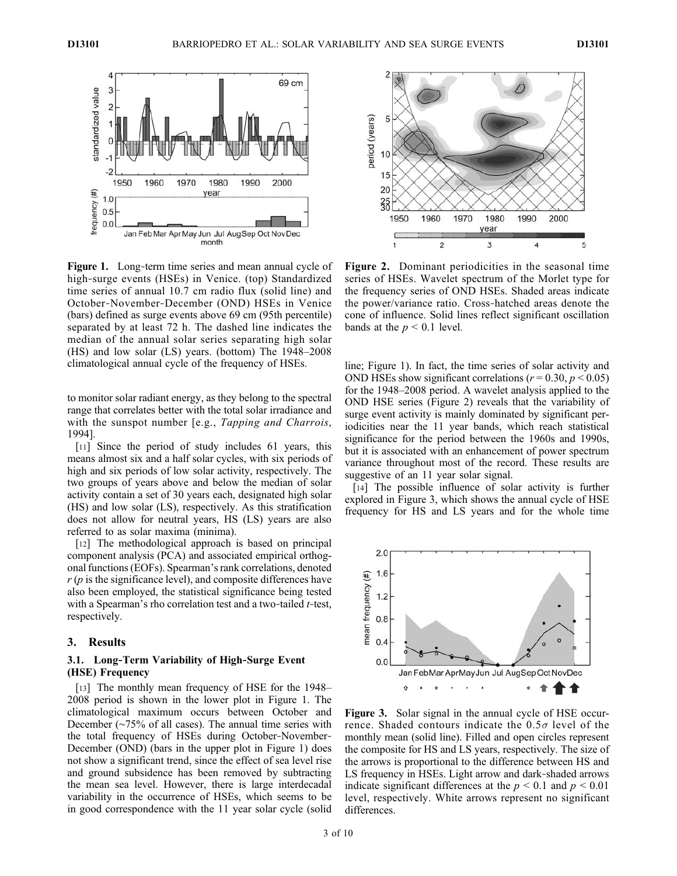

Figure 1. Long-term time series and mean annual cycle of high‐surge events (HSEs) in Venice. (top) Standardized time series of annual 10.7 cm radio flux (solid line) and October‐November‐December (OND) HSEs in Venice (bars) defined as surge events above 69 cm (95th percentile) separated by at least 72 h. The dashed line indicates the median of the annual solar series separating high solar (HS) and low solar (LS) years. (bottom) The 1948–2008 climatological annual cycle of the frequency of HSEs.

to monitor solar radiant energy, as they belong to the spectral range that correlates better with the total solar irradiance and with the sunspot number [e.g., *Tapping and Charrois*, 1994].

[11] Since the period of study includes 61 years, this means almost six and a half solar cycles, with six periods of high and six periods of low solar activity, respectively. The two groups of years above and below the median of solar activity contain a set of 30 years each, designated high solar (HS) and low solar (LS), respectively. As this stratification does not allow for neutral years, HS (LS) years are also referred to as solar maxima (minima).

[12] The methodological approach is based on principal component analysis (PCA) and associated empirical orthogonal functions (EOFs). Spearman's rank correlations, denoted  $r(p)$  is the significance level), and composite differences have also been employed, the statistical significance being tested with a Spearman's rho correlation test and a two-tailed  $t$ -test, respectively.

#### 3. Results

#### 3.1. Long‐Term Variability of High‐Surge Event (HSE) Frequency

[13] The monthly mean frequency of HSE for the 1948– 2008 period is shown in the lower plot in Figure 1. The climatological maximum occurs between October and December (∼75% of all cases). The annual time series with the total frequency of HSEs during October‐November‐ December (OND) (bars in the upper plot in Figure 1) does not show a significant trend, since the effect of sea level rise and ground subsidence has been removed by subtracting the mean sea level. However, there is large interdecadal variability in the occurrence of HSEs, which seems to be in good correspondence with the 11 year solar cycle (solid



Figure 2. Dominant periodicities in the seasonal time series of HSEs. Wavelet spectrum of the Morlet type for the frequency series of OND HSEs. Shaded areas indicate the power/variance ratio. Cross‐hatched areas denote the cone of influence. Solid lines reflect significant oscillation bands at the  $p < 0.1$  level.

line; Figure 1). In fact, the time series of solar activity and OND HSEs show significant correlations ( $r = 0.30, p \le 0.05$ ) for the 1948–2008 period. A wavelet analysis applied to the OND HSE series (Figure 2) reveals that the variability of surge event activity is mainly dominated by significant periodicities near the 11 year bands, which reach statistical significance for the period between the 1960s and 1990s, but it is associated with an enhancement of power spectrum variance throughout most of the record. These results are suggestive of an 11 year solar signal.

[14] The possible influence of solar activity is further explored in Figure 3, which shows the annual cycle of HSE frequency for HS and LS years and for the whole time



Figure 3. Solar signal in the annual cycle of HSE occurrence. Shaded contours indicate the  $0.5\sigma$  level of the monthly mean (solid line). Filled and open circles represent the composite for HS and LS years, respectively. The size of the arrows is proportional to the difference between HS and LS frequency in HSEs. Light arrow and dark‐shaded arrows indicate significant differences at the  $p \le 0.1$  and  $p \le 0.01$ level, respectively. White arrows represent no significant differences.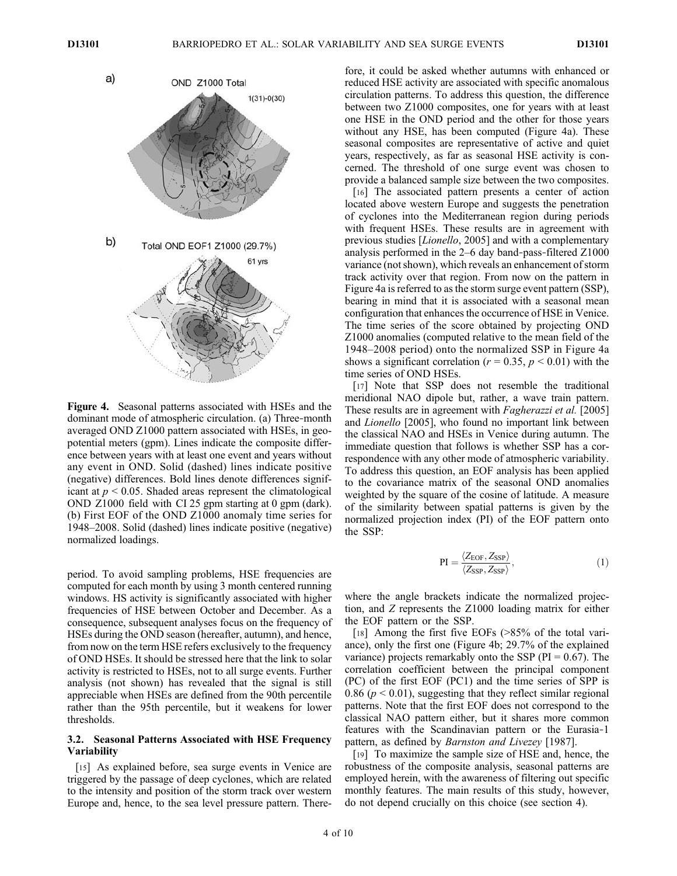

Figure 4. Seasonal patterns associated with HSEs and the dominant mode of atmospheric circulation. (a) Three‐month averaged OND Z1000 pattern associated with HSEs, in geopotential meters (gpm). Lines indicate the composite difference between years with at least one event and years without any event in OND. Solid (dashed) lines indicate positive (negative) differences. Bold lines denote differences significant at  $p < 0.05$ . Shaded areas represent the climatological OND Z1000 field with CI 25 gpm starting at 0 gpm (dark). (b) First EOF of the OND Z1000 anomaly time series for 1948–2008. Solid (dashed) lines indicate positive (negative) normalized loadings.

period. To avoid sampling problems, HSE frequencies are computed for each month by using 3 month centered running windows. HS activity is significantly associated with higher frequencies of HSE between October and December. As a consequence, subsequent analyses focus on the frequency of HSEs during the OND season (hereafter, autumn), and hence, from now on the term HSE refers exclusively to the frequency of OND HSEs. It should be stressed here that the link to solar activity is restricted to HSEs, not to all surge events. Further analysis (not shown) has revealed that the signal is still appreciable when HSEs are defined from the 90th percentile rather than the 95th percentile, but it weakens for lower thresholds.

#### 3.2. Seasonal Patterns Associated with HSE Frequency Variability

[15] As explained before, sea surge events in Venice are triggered by the passage of deep cyclones, which are related to the intensity and position of the storm track over western Europe and, hence, to the sea level pressure pattern. Therefore, it could be asked whether autumns with enhanced or reduced HSE activity are associated with specific anomalous circulation patterns. To address this question, the difference between two Z1000 composites, one for years with at least one HSE in the OND period and the other for those years without any HSE, has been computed (Figure 4a). These seasonal composites are representative of active and quiet years, respectively, as far as seasonal HSE activity is concerned. The threshold of one surge event was chosen to provide a balanced sample size between the two composites.

[16] The associated pattern presents a center of action located above western Europe and suggests the penetration of cyclones into the Mediterranean region during periods with frequent HSEs. These results are in agreement with previous studies [Lionello, 2005] and with a complementary analysis performed in the 2–6 day band‐pass‐filtered Z1000 variance (not shown), which reveals an enhancement of storm track activity over that region. From now on the pattern in Figure 4a is referred to as the storm surge event pattern (SSP), bearing in mind that it is associated with a seasonal mean configuration that enhances the occurrence of HSE in Venice. The time series of the score obtained by projecting OND Z1000 anomalies (computed relative to the mean field of the 1948–2008 period) onto the normalized SSP in Figure 4a shows a significant correlation ( $r = 0.35$ ,  $p \le 0.01$ ) with the time series of OND HSEs.

[17] Note that SSP does not resemble the traditional meridional NAO dipole but, rather, a wave train pattern. These results are in agreement with *Fagherazzi et al.* [2005] and Lionello [2005], who found no important link between the classical NAO and HSEs in Venice during autumn. The immediate question that follows is whether SSP has a correspondence with any other mode of atmospheric variability. To address this question, an EOF analysis has been applied to the covariance matrix of the seasonal OND anomalies weighted by the square of the cosine of latitude. A measure of the similarity between spatial patterns is given by the normalized projection index (PI) of the EOF pattern onto the SSP:

$$
PI = \frac{\langle Z_{\text{EOF}}, Z_{\text{SSP}} \rangle}{\langle Z_{\text{SSP}}, Z_{\text{SSP}} \rangle},\tag{1}
$$

where the angle brackets indicate the normalized projection, and Z represents the Z1000 loading matrix for either the EOF pattern or the SSP.

[18] Among the first five EOFs (>85% of the total variance), only the first one (Figure 4b; 29.7% of the explained variance) projects remarkably onto the SSP ( $PI = 0.67$ ). The correlation coefficient between the principal component (PC) of the first EOF (PC1) and the time series of SPP is 0.86 ( $p < 0.01$ ), suggesting that they reflect similar regional patterns. Note that the first EOF does not correspond to the classical NAO pattern either, but it shares more common features with the Scandinavian pattern or the Eurasia‐1 pattern, as defined by Barnston and Livezey [1987].

[19] To maximize the sample size of HSE and, hence, the robustness of the composite analysis, seasonal patterns are employed herein, with the awareness of filtering out specific monthly features. The main results of this study, however, do not depend crucially on this choice (see section 4).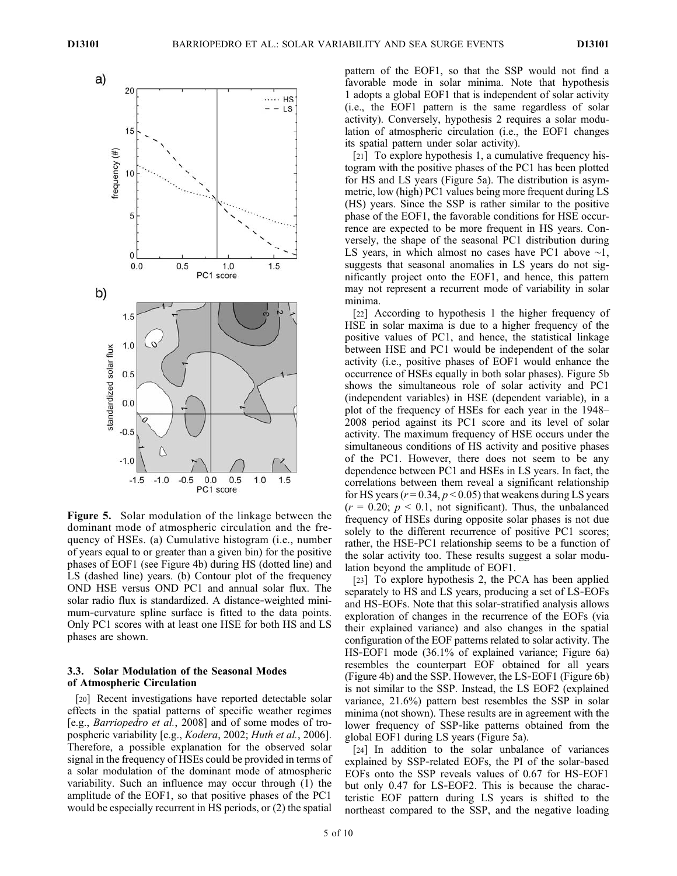

Figure 5. Solar modulation of the linkage between the dominant mode of atmospheric circulation and the frequency of HSEs. (a) Cumulative histogram (i.e., number of years equal to or greater than a given bin) for the positive phases of EOF1 (see Figure 4b) during HS (dotted line) and LS (dashed line) years. (b) Contour plot of the frequency OND HSE versus OND PC1 and annual solar flux. The solar radio flux is standardized. A distance-weighted minimum-curvature spline surface is fitted to the data points. Only PC1 scores with at least one HSE for both HS and LS phases are shown.

# 3.3. Solar Modulation of the Seasonal Modes of Atmospheric Circulation

[20] Recent investigations have reported detectable solar effects in the spatial patterns of specific weather regimes [e.g., Barriopedro et al., 2008] and of some modes of tropospheric variability [e.g., Kodera, 2002; Huth et al., 2006]. Therefore, a possible explanation for the observed solar signal in the frequency of HSEs could be provided in terms of a solar modulation of the dominant mode of atmospheric variability. Such an influence may occur through (1) the amplitude of the EOF1, so that positive phases of the PC1 would be especially recurrent in HS periods, or (2) the spatial

pattern of the EOF1, so that the SSP would not find a favorable mode in solar minima. Note that hypothesis 1 adopts a global EOF1 that is independent of solar activity (i.e., the EOF1 pattern is the same regardless of solar activity). Conversely, hypothesis 2 requires a solar modulation of atmospheric circulation (i.e., the EOF1 changes its spatial pattern under solar activity).

[21] To explore hypothesis 1, a cumulative frequency histogram with the positive phases of the PC1 has been plotted for HS and LS years (Figure 5a). The distribution is asymmetric, low (high) PC1 values being more frequent during LS (HS) years. Since the SSP is rather similar to the positive phase of the EOF1, the favorable conditions for HSE occurrence are expected to be more frequent in HS years. Conversely, the shape of the seasonal PC1 distribution during LS years, in which almost no cases have PC1 above ∼1, suggests that seasonal anomalies in LS years do not significantly project onto the EOF1, and hence, this pattern may not represent a recurrent mode of variability in solar minima.

[22] According to hypothesis 1 the higher frequency of HSE in solar maxima is due to a higher frequency of the positive values of PC1, and hence, the statistical linkage between HSE and PC1 would be independent of the solar activity (i.e., positive phases of EOF1 would enhance the occurrence of HSEs equally in both solar phases). Figure 5b shows the simultaneous role of solar activity and PC1 (independent variables) in HSE (dependent variable), in a plot of the frequency of HSEs for each year in the 1948– 2008 period against its PC1 score and its level of solar activity. The maximum frequency of HSE occurs under the simultaneous conditions of HS activity and positive phases of the PC1. However, there does not seem to be any dependence between PC1 and HSEs in LS years. In fact, the correlations between them reveal a significant relationship for HS years ( $r = 0.34$ ,  $p < 0.05$ ) that weakens during LS years  $(r = 0.20; p < 0.1$ , not significant). Thus, the unbalanced frequency of HSEs during opposite solar phases is not due solely to the different recurrence of positive PC1 scores; rather, the HSE‐PC1 relationship seems to be a function of the solar activity too. These results suggest a solar modulation beyond the amplitude of EOF1.

[23] To explore hypothesis 2, the PCA has been applied separately to HS and LS years, producing a set of LS‐EOFs and HS‐EOFs. Note that this solar‐stratified analysis allows exploration of changes in the recurrence of the EOFs (via their explained variance) and also changes in the spatial configuration of the EOF patterns related to solar activity. The HS‐EOF1 mode (36.1% of explained variance; Figure 6a) resembles the counterpart EOF obtained for all years (Figure 4b) and the SSP. However, the LS‐EOF1 (Figure 6b) is not similar to the SSP. Instead, the LS EOF2 (explained variance, 21.6%) pattern best resembles the SSP in solar minima (not shown). These results are in agreement with the lower frequency of SSP‐like patterns obtained from the global EOF1 during LS years (Figure 5a).

[24] In addition to the solar unbalance of variances explained by SSP‐related EOFs, the PI of the solar‐based EOFs onto the SSP reveals values of 0.67 for HS‐EOF1 but only 0.47 for LS‐EOF2. This is because the characteristic EOF pattern during LS years is shifted to the northeast compared to the SSP, and the negative loading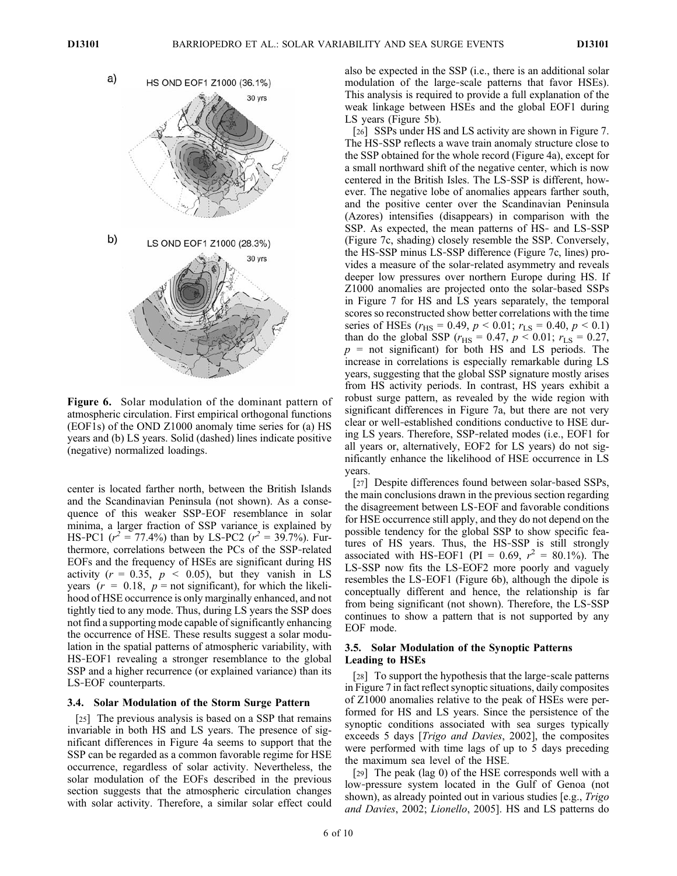

Figure 6. Solar modulation of the dominant pattern of atmospheric circulation. First empirical orthogonal functions (EOF1s) of the OND Z1000 anomaly time series for (a) HS years and (b) LS years. Solid (dashed) lines indicate positive (negative) normalized loadings.

center is located farther north, between the British Islands and the Scandinavian Peninsula (not shown). As a consequence of this weaker SSP-EOF resemblance in solar minima, a larger fraction of SSP variance is explained by HS-PC1 ( $r^2 = 77.4\%$ ) than by LS-PC2 ( $r^2 = 39.7\%$ ). Furthermore, correlations between the PCs of the SSP‐related EOFs and the frequency of HSEs are significant during HS activity ( $r = 0.35$ ,  $p \le 0.05$ ), but they vanish in LS years ( $r = 0.18$ ,  $p =$  not significant), for which the likelihood of HSE occurrence is only marginally enhanced, and not tightly tied to any mode. Thus, during LS years the SSP does not find a supporting mode capable of significantly enhancing the occurrence of HSE. These results suggest a solar modulation in the spatial patterns of atmospheric variability, with HS‐EOF1 revealing a stronger resemblance to the global SSP and a higher recurrence (or explained variance) than its LS‐EOF counterparts.

#### 3.4. Solar Modulation of the Storm Surge Pattern

[25] The previous analysis is based on a SSP that remains invariable in both HS and LS years. The presence of significant differences in Figure 4a seems to support that the SSP can be regarded as a common favorable regime for HSE occurrence, regardless of solar activity. Nevertheless, the solar modulation of the EOFs described in the previous section suggests that the atmospheric circulation changes with solar activity. Therefore, a similar solar effect could also be expected in the SSP (i.e., there is an additional solar modulation of the large‐scale patterns that favor HSEs). This analysis is required to provide a full explanation of the weak linkage between HSEs and the global EOF1 during LS years (Figure 5b).

[26] SSPs under HS and LS activity are shown in Figure 7. The HS‐SSP reflects a wave train anomaly structure close to the SSP obtained for the whole record (Figure 4a), except for a small northward shift of the negative center, which is now centered in the British Isles. The LS‐SSP is different, however. The negative lobe of anomalies appears farther south, and the positive center over the Scandinavian Peninsula (Azores) intensifies (disappears) in comparison with the SSP. As expected, the mean patterns of HS‐ and LS‐SSP (Figure 7c, shading) closely resemble the SSP. Conversely, the HS‐SSP minus LS‐SSP difference (Figure 7c, lines) provides a measure of the solar‐related asymmetry and reveals deeper low pressures over northern Europe during HS. If Z1000 anomalies are projected onto the solar‐based SSPs in Figure 7 for HS and LS years separately, the temporal scores so reconstructed show better correlations with the time series of HSEs ( $r_{\text{HS}} = 0.49$ ,  $p < 0.01$ ;  $r_{\text{LS}} = 0.40$ ,  $p < 0.1$ ) than do the global SSP ( $r_{\text{HS}} = 0.47$ ,  $p < 0.01$ ;  $r_{\text{LS}} = 0.27$ ,  $p =$  not significant) for both HS and LS periods. The increase in correlations is especially remarkable during LS years, suggesting that the global SSP signature mostly arises from HS activity periods. In contrast, HS years exhibit a robust surge pattern, as revealed by the wide region with significant differences in Figure 7a, but there are not very clear or well‐established conditions conductive to HSE during LS years. Therefore, SSP‐related modes (i.e., EOF1 for all years or, alternatively, EOF2 for LS years) do not significantly enhance the likelihood of HSE occurrence in LS years.

[27] Despite differences found between solar-based SSPs, the main conclusions drawn in the previous section regarding the disagreement between LS‐EOF and favorable conditions for HSE occurrence still apply, and they do not depend on the possible tendency for the global SSP to show specific features of HS years. Thus, the HS-SSP is still strongly associated with HS-EOF1 (PI = 0.69,  $r^2 = 80.1\%$ ). The LS‐SSP now fits the LS‐EOF2 more poorly and vaguely resembles the LS‐EOF1 (Figure 6b), although the dipole is conceptually different and hence, the relationship is far from being significant (not shown). Therefore, the LS‐SSP continues to show a pattern that is not supported by any EOF mode.

## 3.5. Solar Modulation of the Synoptic Patterns Leading to HSEs

[28] To support the hypothesis that the large-scale patterns in Figure 7 in fact reflect synoptic situations, daily composites of Z1000 anomalies relative to the peak of HSEs were performed for HS and LS years. Since the persistence of the synoptic conditions associated with sea surges typically exceeds 5 days [Trigo and Davies, 2002], the composites were performed with time lags of up to 5 days preceding the maximum sea level of the HSE.

[29] The peak (lag 0) of the HSE corresponds well with a low‐pressure system located in the Gulf of Genoa (not shown), as already pointed out in various studies [e.g., *Trigo* and Davies, 2002; Lionello, 2005]. HS and LS patterns do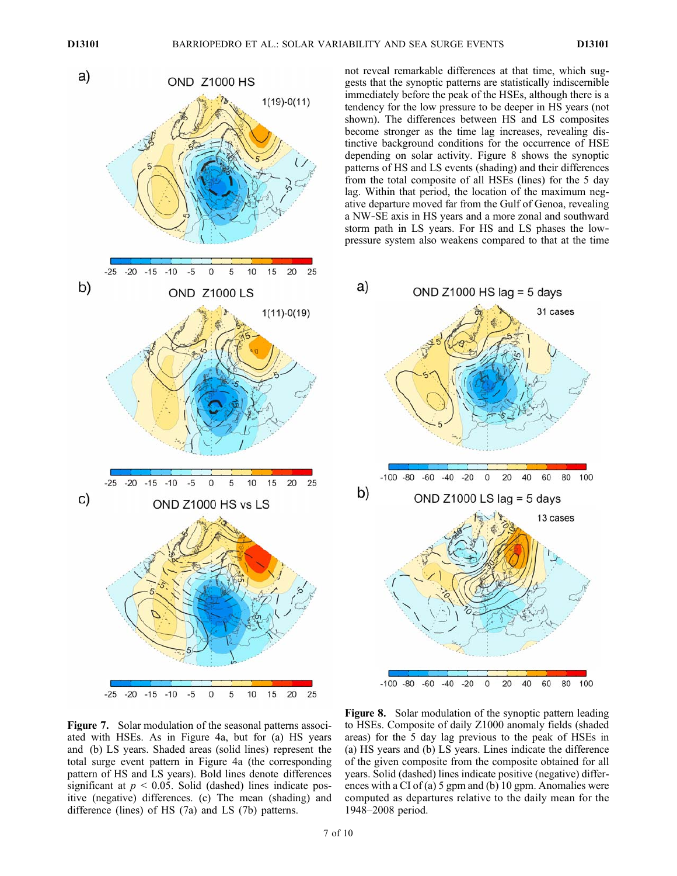

not reveal remarkable differences at that time, which suggests that the synoptic patterns are statistically indiscernible immediately before the peak of the HSEs, although there is a tendency for the low pressure to be deeper in HS years (not shown). The differences between HS and LS composites become stronger as the time lag increases, revealing distinctive background conditions for the occurrence of HSE depending on solar activity. Figure 8 shows the synoptic patterns of HS and LS events (shading) and their differences from the total composite of all HSEs (lines) for the 5 day lag. Within that period, the location of the maximum negative departure moved far from the Gulf of Genoa, revealing a NW‐SE axis in HS years and a more zonal and southward storm path in LS years. For HS and LS phases the low‐ pressure system also weakens compared to that at the time



Figure 7. Solar modulation of the seasonal patterns associated with HSEs. As in Figure 4a, but for (a) HS years and (b) LS years. Shaded areas (solid lines) represent the total surge event pattern in Figure 4a (the corresponding pattern of HS and LS years). Bold lines denote differences significant at  $p < 0.05$ . Solid (dashed) lines indicate positive (negative) differences. (c) The mean (shading) and difference (lines) of HS (7a) and LS (7b) patterns.

Figure 8. Solar modulation of the synoptic pattern leading to HSEs. Composite of daily Z1000 anomaly fields (shaded areas) for the 5 day lag previous to the peak of HSEs in (a) HS years and (b) LS years. Lines indicate the difference of the given composite from the composite obtained for all years. Solid (dashed) lines indicate positive (negative) differences with a CI of (a) 5 gpm and (b) 10 gpm. Anomalies were computed as departures relative to the daily mean for the 1948–2008 period.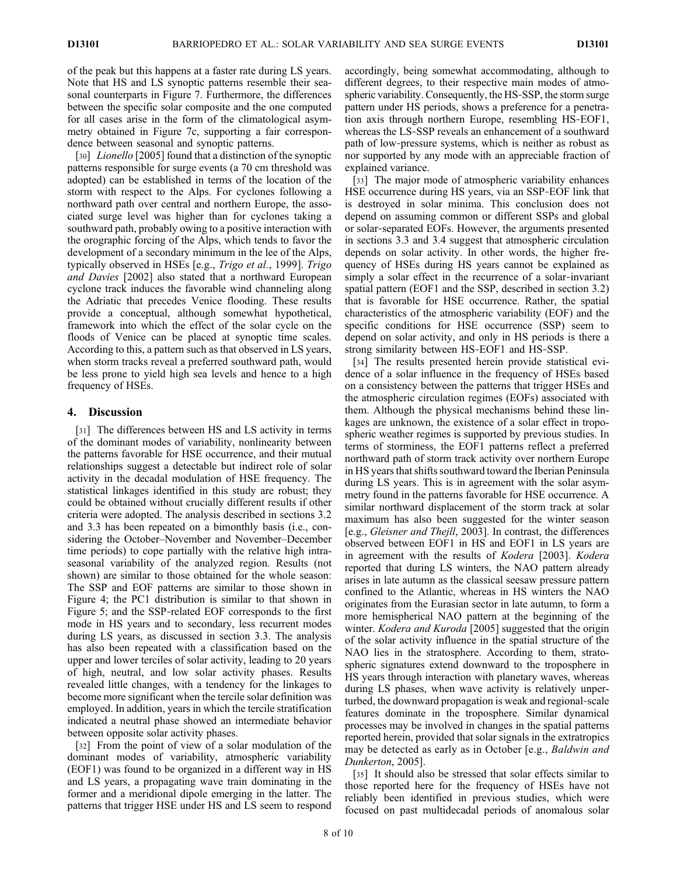of the peak but this happens at a faster rate during LS years. Note that HS and LS synoptic patterns resemble their seasonal counterparts in Figure 7. Furthermore, the differences between the specific solar composite and the one computed for all cases arise in the form of the climatological asymmetry obtained in Figure 7c, supporting a fair correspondence between seasonal and synoptic patterns.

[30] *Lionello* [2005] found that a distinction of the synoptic patterns responsible for surge events (a 70 cm threshold was adopted) can be established in terms of the location of the storm with respect to the Alps. For cyclones following a northward path over central and northern Europe, the associated surge level was higher than for cyclones taking a southward path, probably owing to a positive interaction with the orographic forcing of the Alps, which tends to favor the development of a secondary minimum in the lee of the Alps, typically observed in HSEs [e.g., Trigo et al., 1999]. Trigo and Davies [2002] also stated that a northward European cyclone track induces the favorable wind channeling along the Adriatic that precedes Venice flooding. These results provide a conceptual, although somewhat hypothetical, framework into which the effect of the solar cycle on the floods of Venice can be placed at synoptic time scales. According to this, a pattern such as that observed in LS years, when storm tracks reveal a preferred southward path, would be less prone to yield high sea levels and hence to a high frequency of HSEs.

# 4. Discussion

[31] The differences between HS and LS activity in terms of the dominant modes of variability, nonlinearity between the patterns favorable for HSE occurrence, and their mutual relationships suggest a detectable but indirect role of solar activity in the decadal modulation of HSE frequency. The statistical linkages identified in this study are robust; they could be obtained without crucially different results if other criteria were adopted. The analysis described in sections 3.2 and 3.3 has been repeated on a bimonthly basis (i.e., considering the October–November and November–December time periods) to cope partially with the relative high intraseasonal variability of the analyzed region. Results (not shown) are similar to those obtained for the whole season: The SSP and EOF patterns are similar to those shown in Figure 4; the PC1 distribution is similar to that shown in Figure 5; and the SSP‐related EOF corresponds to the first mode in HS years and to secondary, less recurrent modes during LS years, as discussed in section 3.3. The analysis has also been repeated with a classification based on the upper and lower terciles of solar activity, leading to 20 years of high, neutral, and low solar activity phases. Results revealed little changes, with a tendency for the linkages to become more significant when the tercile solar definition was employed. In addition, years in which the tercile stratification indicated a neutral phase showed an intermediate behavior between opposite solar activity phases.

[32] From the point of view of a solar modulation of the dominant modes of variability, atmospheric variability (EOF1) was found to be organized in a different way in HS and LS years, a propagating wave train dominating in the former and a meridional dipole emerging in the latter. The patterns that trigger HSE under HS and LS seem to respond accordingly, being somewhat accommodating, although to different degrees, to their respective main modes of atmospheric variability. Consequently, the HS–SSP, the storm surge pattern under HS periods, shows a preference for a penetration axis through northern Europe, resembling HS‐EOF1, whereas the LS‐SSP reveals an enhancement of a southward path of low‐pressure systems, which is neither as robust as nor supported by any mode with an appreciable fraction of explained variance.

[33] The major mode of atmospheric variability enhances HSE occurrence during HS years, via an SSP‐EOF link that is destroyed in solar minima. This conclusion does not depend on assuming common or different SSPs and global or solar‐separated EOFs. However, the arguments presented in sections 3.3 and 3.4 suggest that atmospheric circulation depends on solar activity. In other words, the higher frequency of HSEs during HS years cannot be explained as simply a solar effect in the recurrence of a solar-invariant spatial pattern (EOF1 and the SSP, described in section 3.2) that is favorable for HSE occurrence. Rather, the spatial characteristics of the atmospheric variability (EOF) and the specific conditions for HSE occurrence (SSP) seem to depend on solar activity, and only in HS periods is there a strong similarity between HS‐EOF1 and HS‐SSP.

[34] The results presented herein provide statistical evidence of a solar influence in the frequency of HSEs based on a consistency between the patterns that trigger HSEs and the atmospheric circulation regimes (EOFs) associated with them. Although the physical mechanisms behind these linkages are unknown, the existence of a solar effect in tropospheric weather regimes is supported by previous studies. In terms of storminess, the EOF1 patterns reflect a preferred northward path of storm track activity over northern Europe in HS years that shifts southward toward the Iberian Peninsula during LS years. This is in agreement with the solar asymmetry found in the patterns favorable for HSE occurrence. A similar northward displacement of the storm track at solar maximum has also been suggested for the winter season [e.g., Gleisner and Thejll, 2003]. In contrast, the differences observed between EOF1 in HS and EOF1 in LS years are in agreement with the results of Kodera [2003]. Kodera reported that during LS winters, the NAO pattern already arises in late autumn as the classical seesaw pressure pattern confined to the Atlantic, whereas in HS winters the NAO originates from the Eurasian sector in late autumn, to form a more hemispherical NAO pattern at the beginning of the winter. Kodera and Kuroda [2005] suggested that the origin of the solar activity influence in the spatial structure of the NAO lies in the stratosphere. According to them, stratospheric signatures extend downward to the troposphere in HS years through interaction with planetary waves, whereas during LS phases, when wave activity is relatively unperturbed, the downward propagation is weak and regional‐scale features dominate in the troposphere. Similar dynamical processes may be involved in changes in the spatial patterns reported herein, provided that solar signals in the extratropics may be detected as early as in October [e.g., Baldwin and Dunkerton, 2005].

[35] It should also be stressed that solar effects similar to those reported here for the frequency of HSEs have not reliably been identified in previous studies, which were focused on past multidecadal periods of anomalous solar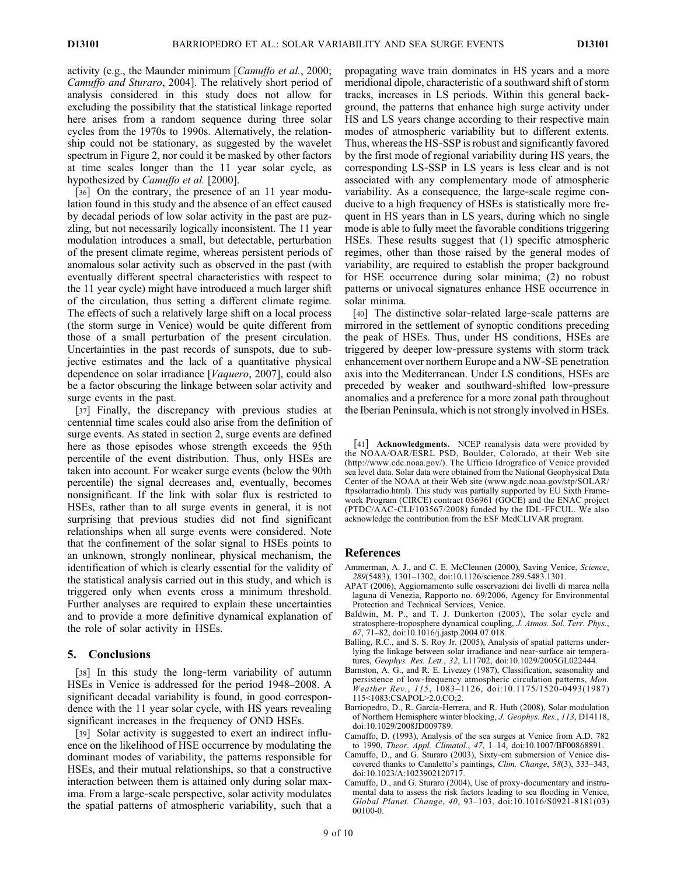activity (e.g., the Maunder minimum [Camuffo et al., 2000; Camuffo and Sturaro, 2004]. The relatively short period of analysis considered in this study does not allow for excluding the possibility that the statistical linkage reported here arises from a random sequence during three solar cycles from the 1970s to 1990s. Alternatively, the relationship could not be stationary, as suggested by the wavelet spectrum in Figure 2, nor could it be masked by other factors at time scales longer than the 11 year solar cycle, as hypothesized by *Camuffo et al.* [2000].

[36] On the contrary, the presence of an 11 year modulation found in this study and the absence of an effect caused by decadal periods of low solar activity in the past are puzzling, but not necessarily logically inconsistent. The 11 year modulation introduces a small, but detectable, perturbation of the present climate regime, whereas persistent periods of anomalous solar activity such as observed in the past (with eventually different spectral characteristics with respect to the 11 year cycle) might have introduced a much larger shift of the circulation, thus setting a different climate regime. The effects of such a relatively large shift on a local process (the storm surge in Venice) would be quite different from those of a small perturbation of the present circulation. Uncertainties in the past records of sunspots, due to subjective estimates and the lack of a quantitative physical dependence on solar irradiance [Vaquero, 2007], could also be a factor obscuring the linkage between solar activity and surge events in the past.

[37] Finally, the discrepancy with previous studies at centennial time scales could also arise from the definition of surge events. As stated in section 2, surge events are defined here as those episodes whose strength exceeds the 95th percentile of the event distribution. Thus, only HSEs are taken into account. For weaker surge events (below the 90th percentile) the signal decreases and, eventually, becomes nonsignificant. If the link with solar flux is restricted to HSEs, rather than to all surge events in general, it is not surprising that previous studies did not find significant relationships when all surge events were considered. Note that the confinement of the solar signal to HSEs points to an unknown, strongly nonlinear, physical mechanism, the identification of which is clearly essential for the validity of the statistical analysis carried out in this study, and which is triggered only when events cross a minimum threshold. Further analyses are required to explain these uncertainties and to provide a more definitive dynamical explanation of the role of solar activity in HSEs.

#### 5. Conclusions

[38] In this study the long-term variability of autumn HSEs in Venice is addressed for the period 1948–2008. A significant decadal variability is found, in good correspondence with the 11 year solar cycle, with HS years revealing significant increases in the frequency of OND HSEs.

[39] Solar activity is suggested to exert an indirect influence on the likelihood of HSE occurrence by modulating the dominant modes of variability, the patterns responsible for HSEs, and their mutual relationships, so that a constructive interaction between them is attained only during solar maxima. From a large‐scale perspective, solar activity modulates the spatial patterns of atmospheric variability, such that a

propagating wave train dominates in HS years and a more meridional dipole, characteristic of a southward shift of storm tracks, increases in LS periods. Within this general background, the patterns that enhance high surge activity under HS and LS years change according to their respective main modes of atmospheric variability but to different extents. Thus, whereas the HS‐SSP is robust and significantly favored by the first mode of regional variability during HS years, the corresponding LS‐SSP in LS years is less clear and is not associated with any complementary mode of atmospheric variability. As a consequence, the large‐scale regime conducive to a high frequency of HSEs is statistically more frequent in HS years than in LS years, during which no single mode is able to fully meet the favorable conditions triggering HSEs. These results suggest that (1) specific atmospheric regimes, other than those raised by the general modes of variability, are required to establish the proper background for HSE occurrence during solar minima; (2) no robust patterns or univocal signatures enhance HSE occurrence in solar minima.

[40] The distinctive solar-related large-scale patterns are mirrored in the settlement of synoptic conditions preceding the peak of HSEs. Thus, under HS conditions, HSEs are triggered by deeper low‐pressure systems with storm track enhancement over northern Europe and a NW‐SE penetration axis into the Mediterranean. Under LS conditions, HSEs are preceded by weaker and southward‐shifted low‐pressure anomalies and a preference for a more zonal path throughout the Iberian Peninsula, which is not strongly involved in HSEs.

[41] **Acknowledgments.** NCEP reanalysis data were provided by the NOAA/OAR/ESRL PSD, Boulder, Colorado, at their Web site (http://www.cdc.noaa.gov/). The Ufficio Idrografico of Venice provided sea level data. Solar data were obtained from the National Geophysical Data Center of the NOAA at their Web site (www.ngdc.noaa.gov/stp/SOLAR/ ftpsolarradio.html). This study was partially supported by EU Sixth Framework Program (CIRCE) contract 036961 (GOCE) and the ENAC project (PTDC/AAC‐CLI/103567/2008) funded by the IDL‐FFCUL. We also acknowledge the contribution from the ESF MedCLIVAR program.

#### References

- Ammerman, A. J., and C. E. McClennen (2000), Saving Venice, Science, 289(5483), 1301–1302, doi:10.1126/science.289.5483.1301.
- APAT (2006), Aggiornamento sulle osservazioni dei livelli di marea nella laguna di Venezia, Rapporto no. 69/2006, Agency for Environmental Protection and Technical Services, Venice.
- Baldwin, M. P., and T. J. Dunkerton (2005), The solar cycle and stratosphere-troposphere dynamical coupling, J. Atmos. Sol. Terr. Phys., 67, 71–82, doi:10.1016/j.jastp.2004.07.018.
- Balling, R.C., and S. S. Roy Jr. (2005), Analysis of spatial patterns underlying the linkage between solar irradiance and near‐surface air temperatures, Geophys. Res. Lett., 32, L11702, doi:10.1029/2005GL022444.
- Barnston, A. G., and R. E. Livezey (1987), Classification, seasonality and persistence of low-frequency atmospheric circulation patterns, Mon. Weather Rev., 115, 1083–1126, doi:10.1175/1520-0493(1987) 115<1083:CSAPOL>2.0.CO;2.
- Barriopedro, D., R. García‐Herrera, and R. Huth (2008), Solar modulation of Northern Hemisphere winter blocking, J. Geophys. Res., 113, D14118, doi:10.1029/2008JD009789.
- Camuffo, D. (1993), Analysis of the sea surges at Venice from A.D. 782 to 1990, Theor. Appl. Climatol., 47, 1–14, doi:10.1007/BF00868891.
- Camuffo, D., and G. Sturaro (2003), Sixty-cm submersion of Venice discovered thanks to Canaletto's paintings, Clim. Change, 58(3), 333–343, doi:10.1023/A:1023902120717.
- Camuffo, D., and G. Sturaro (2004), Use of proxy‐documentary and instrumental data to assess the risk factors leading to sea flooding in Venice, Global Planet. Change, 40, 93–103, doi:10.1016/S0921-8181(03) 00100-0.